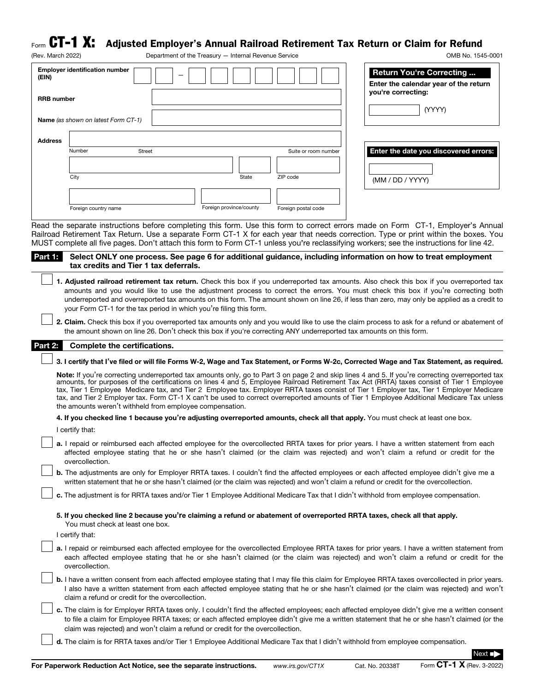## $_{\sf Form}$   ${\bf CT\text{-}1\,\,X:}\;$  Adjusted Employer's Annual Railroad Retirement Tax Return or Claim for Refund

| (Rev. March 2022) |                                       |        | Department of the Treasury - Internal Revenue Service |                      | OMB No. 1545-0001                                                        |
|-------------------|---------------------------------------|--------|-------------------------------------------------------|----------------------|--------------------------------------------------------------------------|
| (EIN)             | <b>Employer identification number</b> |        |                                                       |                      | <b>Return You're Correcting</b><br>Enter the calendar year of the return |
| <b>RRB</b> number |                                       |        |                                                       |                      | you're correcting:<br>(YYYY)                                             |
|                   | Name (as shown on latest Form CT-1)   |        |                                                       |                      |                                                                          |
| <b>Address</b>    |                                       |        |                                                       |                      |                                                                          |
|                   | Number                                | Street |                                                       | Suite or room number | Enter the date you discovered errors:                                    |
|                   |                                       |        |                                                       |                      |                                                                          |
|                   | City                                  |        | State                                                 | ZIP code             | (MM / DD / YYYY)                                                         |
|                   |                                       |        |                                                       |                      |                                                                          |
|                   | Foreign country name                  |        | Foreign province/county                               | Foreign postal code  |                                                                          |

Read the separate instructions before completing this form. Use this form to correct errors made on Form CT-1, Employer's Annual Railroad Retirement Tax Return. Use a separate Form CT-1 X for each year that needs correction. Type or print within the boxes. You MUST complete all five pages. Don't attach this form to Form CT-1 unless you're reclassifying workers; see the instructions for line 42.

| Part Fig. Select ONLY one process. See page 6 for additional guidance, including information on how to treat employment<br>tax credits and Tier 1 tax deferrals. |
|------------------------------------------------------------------------------------------------------------------------------------------------------------------|
|                                                                                                                                                                  |

 $\perp$  1. Adjusted railroad retirement tax return. Check this box if you underreported tax amounts. Also check this box if you overreported tax amounts and you would like to use the adjustment process to correct the errors. You must check this box if you're correcting both underreported and overreported tax amounts on this form. The amount shown on line 26, if less than zero, may only be applied as a credit to your Form CT-1 for the tax period in which you're filing this form.

2. Claim. Check this box if you overreported tax amounts only and you would like to use the claim process to ask for a refund or abatement of the amount shown on line 26. Don't check this box if you're correcting ANY underreported tax amounts on this form.

## Part 2: Complete the certifications.

## 3. I certify that I've filed or will file Forms W-2, Wage and Tax Statement, or Forms W-2c, Corrected Wage and Tax Statement, as required.

Note: If you're correcting underreported tax amounts only, go to Part 3 on page 2 and skip lines 4 and 5. If you're correcting overreported tax amounts, for purposes of the certifications on lines 4 and 5, Employee Railroad Retirement Tax Act (RRTA) taxes consist of Tier 1 Employee tax, Tier 1 Employee Medicare tax, and Tier 2 Employee tax. Employer RRTA taxes consist of Tier 1 Employer tax, Tier 1 Employer Medicare tax, and Tier 2 Employer tax. Form CT-1 X can't be used to correct overreported amounts of Tier 1 Employee Additional Medicare Tax unless the amounts weren't withheld from employee compensation.

4. If you checked line 1 because you're adjusting overreported amounts, check all that apply. You must check at least one box.

| I certify that: |  |
|-----------------|--|
|-----------------|--|

a. I repaid or reimbursed each affected employee for the overcollected RRTA taxes for prior years. I have a written statement from each affected employee stating that he or she hasn't claimed (or the claim was rejected) and won't claim a refund or credit for the overcollection.

b. The adjustments are only for Employer RRTA taxes. I couldn't find the affected employees or each affected employee didn't give me a written statement that he or she hasn't claimed (or the claim was rejected) and won't claim a refund or credit for the overcollection.

c. The adjustment is for RRTA taxes and/or Tier 1 Employee Additional Medicare Tax that I didn't withhold from employee compensation.

5. If you checked line 2 because you're claiming a refund or abatement of overreported RRTA taxes, check all that apply. You must check at least one box.

I certify that:

- a. I repaid or reimbursed each affected employee for the overcollected Employee RRTA taxes for prior years. I have a written statement from each affected employee stating that he or she hasn't claimed (or the claim was rejected) and won't claim a refund or credit for the overcollection.
- b. I have a written consent from each affected employee stating that I may file this claim for Employee RRTA taxes overcollected in prior years. I also have a written statement from each affected employee stating that he or she hasn't claimed (or the claim was rejected) and won't claim a refund or credit for the overcollection.
- c. The claim is for Employer RRTA taxes only. I couldn't find the affected employees; each affected employee didn't give me a written consent to file a claim for Employee RRTA taxes; or each affected employee didn't give me a written statement that he or she hasn't claimed (or the claim was rejected) and won't claim a refund or credit for the overcollection.

d. The claim is for RRTA taxes and/or Tier 1 Employee Additional Medicare Tax that I didn't withhold from employee compensation.

For Paperwork Reduction Act Notice, see the separate instructions. *www.irs.gov/CT1X* Cat. No. 20338T Form CT-1 X (Rev. 3-2022)

Next ■▶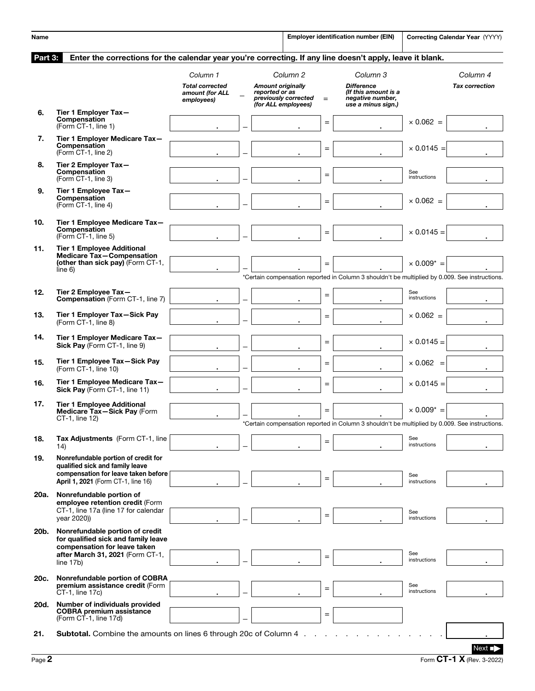| Name    |                                                                                                                                            |                                                                     |                                                                   |                                             |           | Employer identification number (EIN)                                                            |                     | Correcting Calendar Year (YYYY)   |
|---------|--------------------------------------------------------------------------------------------------------------------------------------------|---------------------------------------------------------------------|-------------------------------------------------------------------|---------------------------------------------|-----------|-------------------------------------------------------------------------------------------------|---------------------|-----------------------------------|
| Part 3: | Enter the corrections for the calendar year you're correcting. If any line doesn't apply, leave it blank.                                  |                                                                     |                                                                   |                                             |           |                                                                                                 |                     |                                   |
|         |                                                                                                                                            | Column 1<br><b>Total corrected</b><br>amount (for ALL<br>employees) | <b>Amount originally</b><br>reported or as<br>(for ALL employees) | Column <sub>2</sub><br>previously corrected | $=$       | Column 3<br><b>Difference</b><br>(If this amount is a<br>negative number,<br>use a minus sign.) |                     | Column 4<br><b>Tax correction</b> |
| 6.      | Tier 1 Employer Tax-<br>Compensation<br>(Form CT-1, line 1)                                                                                |                                                                     |                                                                   |                                             | $=$       |                                                                                                 | $\times$ 0.062 =    |                                   |
| 7.      | Tier 1 Employer Medicare Tax-<br>Compensation<br>(Form CT-1, line 2)                                                                       |                                                                     |                                                                   |                                             | $\quad =$ |                                                                                                 | $\times$ 0.0145 =   |                                   |
| 8.      | Tier 2 Employer Tax-<br>Compensation<br>(Form CT-1, line 3)                                                                                |                                                                     |                                                                   |                                             | $=$       |                                                                                                 | See<br>instructions |                                   |
| 9.      | Tier 1 Employee Tax-<br>Compensation<br>(Form CT-1, line 4)                                                                                |                                                                     |                                                                   |                                             | $=$       |                                                                                                 | $\times$ 0.062 =    |                                   |
| 10.     | Tier 1 Employee Medicare Tax-<br><b>Compensation</b><br>(Form CT-1, line 5)                                                                |                                                                     |                                                                   |                                             | $=$       |                                                                                                 | $\times$ 0.0145 =   |                                   |
| 11.     | <b>Tier 1 Employee Additional</b><br>Medicare Tax-Compensation<br>(other than sick pay) (Form CT-1,<br>line 6)                             |                                                                     |                                                                   |                                             | $=$       |                                                                                                 | $\times$ 0.009* =   |                                   |
|         |                                                                                                                                            |                                                                     |                                                                   |                                             |           | *Certain compensation reported in Column 3 shouldn't be multiplied by 0.009. See instructions.  |                     |                                   |
| 12.     | Tier 2 Employee Tax-<br><b>Compensation</b> (Form CT-1, line 7)                                                                            |                                                                     |                                                                   |                                             | $=$       |                                                                                                 | See<br>instructions |                                   |
| 13.     | Tier 1 Employer Tax-Sick Pay<br>(Form CT-1, line 8)                                                                                        |                                                                     |                                                                   |                                             | $=$       |                                                                                                 | $\times$ 0.062 =    |                                   |
| 14.     | Tier 1 Employer Medicare Tax-<br>Sick Pay (Form CT-1, line 9)                                                                              |                                                                     |                                                                   |                                             | $=$       |                                                                                                 | $\times$ 0.0145 =   |                                   |
| 15.     | Tier 1 Employee Tax-Sick Pay<br>(Form CT-1, line 10)                                                                                       |                                                                     |                                                                   |                                             | $=$       |                                                                                                 | $\times 0.062 =$    |                                   |
| 16.     | Tier 1 Employee Medicare Tax-<br>Sick Pay (Form CT-1, line 11)                                                                             |                                                                     |                                                                   |                                             | $=$       |                                                                                                 | $\times$ 0.0145 =   |                                   |
| 17.     | <b>Tier 1 Employee Additional</b><br>Medicare Tax-Sick Pay (Form<br>CT-1. line 12)                                                         |                                                                     |                                                                   |                                             | $=$       | Certain compensation reported in Column 3 shouldn't be multiplied by 0.009. See instructions.   | $\times$ 0.009* =   |                                   |
| 18.     | <b>Tax Adjustments</b> (Form CT-1, line<br>14)                                                                                             |                                                                     |                                                                   |                                             | $=$       |                                                                                                 | See<br>instructions |                                   |
| 19.     | Nonrefundable portion of credit for<br>qualified sick and family leave<br>compensation for leave taken before                              |                                                                     |                                                                   |                                             | $=$       |                                                                                                 | See                 |                                   |
| 20a.    | April 1, 2021 (Form CT-1, line 16)<br>Nonrefundable portion of<br>employee retention credit (Form                                          |                                                                     |                                                                   |                                             |           |                                                                                                 | instructions        |                                   |
|         | CT-1, line 17a (line 17 for calendar<br>year 2020))                                                                                        |                                                                     |                                                                   |                                             | $=$       |                                                                                                 | See<br>instructions |                                   |
| 20b.    | Nonrefundable portion of credit<br>for qualified sick and family leave<br>compensation for leave taken<br>after March 31, 2021 (Form CT-1, |                                                                     |                                                                   |                                             | $=$       |                                                                                                 | See<br>instructions |                                   |
| 20c.    | line 17b)<br>Nonrefundable portion of COBRA                                                                                                |                                                                     |                                                                   |                                             |           |                                                                                                 |                     |                                   |
|         | premium assistance credit (Form<br>CT-1, line 17c)                                                                                         |                                                                     |                                                                   |                                             | $=$       |                                                                                                 | See<br>instructions |                                   |
| 20d.    | Number of individuals provided<br><b>COBRA premium assistance</b><br>(Form CT-1, line 17d)                                                 |                                                                     |                                                                   |                                             | $=$       |                                                                                                 |                     |                                   |
| 21.     | Subtotal. Combine the amounts on lines 6 through 20c of Column 4                                                                           |                                                                     |                                                                   |                                             |           |                                                                                                 |                     |                                   |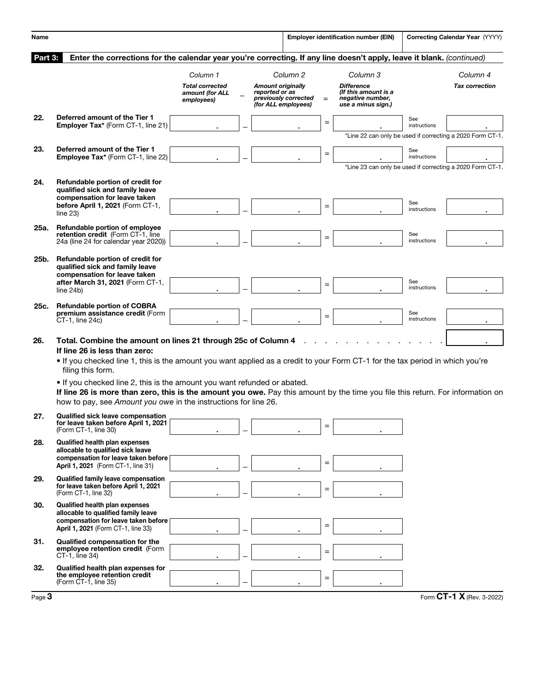| Name     |                                                                                                                                                                                                                                                                                                                                                                                                                                                                                                                                       |                                                                     |  |                                                                                           |          |     | <b>Employer identification number (EIN)</b>                                                     |                     | Correcting Calendar Year (YYYY)                           |
|----------|---------------------------------------------------------------------------------------------------------------------------------------------------------------------------------------------------------------------------------------------------------------------------------------------------------------------------------------------------------------------------------------------------------------------------------------------------------------------------------------------------------------------------------------|---------------------------------------------------------------------|--|-------------------------------------------------------------------------------------------|----------|-----|-------------------------------------------------------------------------------------------------|---------------------|-----------------------------------------------------------|
| Part 3:  | Enter the corrections for the calendar year you're correcting. If any line doesn't apply, leave it blank. (continued)                                                                                                                                                                                                                                                                                                                                                                                                                 |                                                                     |  |                                                                                           |          |     |                                                                                                 |                     |                                                           |
|          |                                                                                                                                                                                                                                                                                                                                                                                                                                                                                                                                       | Column 1<br><b>Total corrected</b><br>amount (for ALL<br>employees) |  | <b>Amount originally</b><br>reported or as<br>previously corrected<br>(for ALL employees) | Column 2 | $=$ | Column 3<br><b>Difference</b><br>(If this amount is a<br>negative number,<br>use a minus sign.) |                     | Column 4<br><b>Tax correction</b>                         |
| 22.      | Deferred amount of the Tier 1<br>Employer Tax* (Form CT-1, line 21)                                                                                                                                                                                                                                                                                                                                                                                                                                                                   |                                                                     |  |                                                                                           |          | $=$ |                                                                                                 | See<br>instructions | *Line 22 can only be used if correcting a 2020 Form CT-1. |
| 23.      | Deferred amount of the Tier 1<br>Employee Tax* (Form CT-1, line 22)                                                                                                                                                                                                                                                                                                                                                                                                                                                                   |                                                                     |  |                                                                                           |          | $=$ |                                                                                                 | See<br>instructions | *Line 23 can only be used if correcting a 2020 Form CT-1. |
| 24.      | Refundable portion of credit for<br>qualified sick and family leave<br>compensation for leave taken<br>before April 1, 2021 (Form CT-1,<br>line 23)                                                                                                                                                                                                                                                                                                                                                                                   |                                                                     |  |                                                                                           |          | $=$ |                                                                                                 | See<br>instructions |                                                           |
| 25a.     | Refundable portion of employee<br>retention credit (Form CT-1, line<br>24a (line 24 for calendar year 2020))                                                                                                                                                                                                                                                                                                                                                                                                                          |                                                                     |  |                                                                                           |          | $=$ |                                                                                                 | See<br>instructions |                                                           |
| 25b.     | Refundable portion of credit for<br>qualified sick and family leave<br>compensation for leave taken<br>after March 31, 2021 (Form CT-1,<br>line 24b)                                                                                                                                                                                                                                                                                                                                                                                  |                                                                     |  |                                                                                           |          | $=$ |                                                                                                 | See<br>instructions |                                                           |
| 25c.     | <b>Refundable portion of COBRA</b><br>premium assistance credit (Form<br>CT-1, line 24c)                                                                                                                                                                                                                                                                                                                                                                                                                                              |                                                                     |  |                                                                                           |          | $=$ |                                                                                                 | See<br>instructions |                                                           |
| 26.      | Total. Combine the amount on lines 21 through 25c of Column 4<br>If line 26 is less than zero:<br>• If you checked line 1, this is the amount you want applied as a credit to your Form CT-1 for the tax period in which you're<br>filing this form.<br>. If you checked line 2, this is the amount you want refunded or abated.<br>If line 26 is more than zero, this is the amount you owe. Pay this amount by the time you file this return. For information on<br>how to pay, see Amount you owe in the instructions for line 26. |                                                                     |  |                                                                                           |          |     |                                                                                                 |                     |                                                           |
| 27.      | <b>Qualified sick leave compensation</b><br>for leave taken before April 1, 2021<br>(Form CT-1, line 30)                                                                                                                                                                                                                                                                                                                                                                                                                              |                                                                     |  |                                                                                           |          | $=$ |                                                                                                 |                     |                                                           |
| 28.      | <b>Qualified health plan expenses</b><br>allocable to qualified sick leave<br>compensation for leave taken before<br>April 1, 2021 (Form CT-1, line 31)                                                                                                                                                                                                                                                                                                                                                                               |                                                                     |  |                                                                                           |          | $=$ |                                                                                                 |                     |                                                           |
| 29.      | <b>Qualified family leave compensation</b><br>for leave taken before April 1, 2021<br>(Form CT-1, line 32)                                                                                                                                                                                                                                                                                                                                                                                                                            |                                                                     |  |                                                                                           |          | $=$ |                                                                                                 |                     |                                                           |
| 30.      | <b>Qualified health plan expenses</b><br>allocable to qualified family leave<br>compensation for leave taken before<br>April 1, 2021 (Form CT-1, line 33)                                                                                                                                                                                                                                                                                                                                                                             |                                                                     |  |                                                                                           |          | $=$ |                                                                                                 |                     |                                                           |
| 31.      | <b>Qualified compensation for the</b><br>employee retention credit (Form<br>CT-1, line 34)                                                                                                                                                                                                                                                                                                                                                                                                                                            |                                                                     |  |                                                                                           |          | $=$ |                                                                                                 |                     |                                                           |
| 32.      | Qualified health plan expenses for<br>the employee retention credit<br>(Form CT-1, line 35)                                                                                                                                                                                                                                                                                                                                                                                                                                           |                                                                     |  |                                                                                           |          | $=$ |                                                                                                 |                     |                                                           |
| Page $3$ |                                                                                                                                                                                                                                                                                                                                                                                                                                                                                                                                       |                                                                     |  |                                                                                           |          |     |                                                                                                 |                     | Form CT-1 X (Rev. 3-2022)                                 |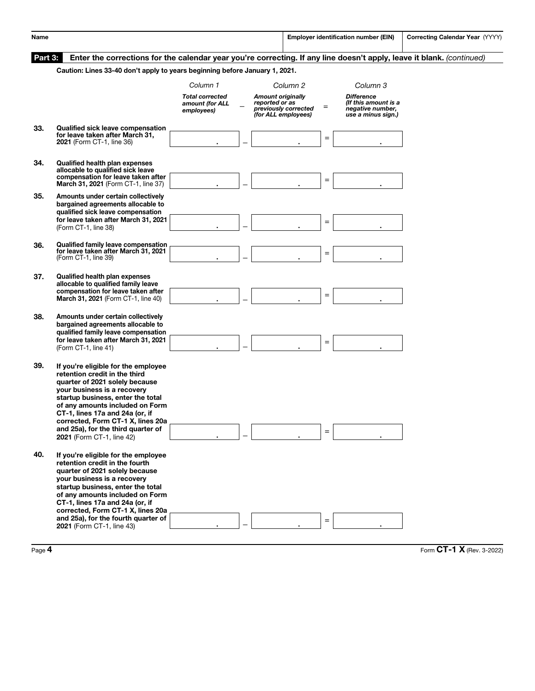| Name    |                                                                                                                                                                                                                                                                                                                                                            |                                                                     |                                                                   |                                  |     | <b>Employer identification number (EIN)</b>                                                     | Correcting Calendar Year (YYYY) |
|---------|------------------------------------------------------------------------------------------------------------------------------------------------------------------------------------------------------------------------------------------------------------------------------------------------------------------------------------------------------------|---------------------------------------------------------------------|-------------------------------------------------------------------|----------------------------------|-----|-------------------------------------------------------------------------------------------------|---------------------------------|
| Part 3: | Enter the corrections for the calendar year you're correcting. If any line doesn't apply, leave it blank. (continued)<br>Caution: Lines 33-40 don't apply to years beginning before January 1, 2021.                                                                                                                                                       |                                                                     |                                                                   |                                  |     |                                                                                                 |                                 |
|         |                                                                                                                                                                                                                                                                                                                                                            |                                                                     |                                                                   |                                  |     |                                                                                                 |                                 |
|         |                                                                                                                                                                                                                                                                                                                                                            | Column 1<br><b>Total corrected</b><br>amount (for ALL<br>employees) | <b>Amount originally</b><br>reported or as<br>(for ALL employees) | Column 2<br>previously corrected | $=$ | Column 3<br><b>Difference</b><br>(If this amount is a<br>negative number,<br>use a minus sign.) |                                 |
| 33.     | <b>Qualified sick leave compensation</b><br>for leave taken after March 31,<br>2021 (Form CT-1, line 36)                                                                                                                                                                                                                                                   |                                                                     |                                                                   |                                  | $=$ |                                                                                                 |                                 |
| 34.     | <b>Qualified health plan expenses</b><br>allocable to qualified sick leave<br>compensation for leave taken after<br>March 31, 2021 (Form CT-1, line 37)                                                                                                                                                                                                    |                                                                     |                                                                   |                                  | $=$ |                                                                                                 |                                 |
| 35.     | Amounts under certain collectively<br>bargained agreements allocable to<br>qualified sick leave compensation<br>for leave taken after March 31, 2021<br>(Form CT-1, line 38)                                                                                                                                                                               |                                                                     |                                                                   |                                  | $=$ |                                                                                                 |                                 |
| 36.     | <b>Qualified family leave compensation</b><br>for leave taken after March 31, 2021<br>(Form CT-1, line 39)                                                                                                                                                                                                                                                 |                                                                     |                                                                   |                                  | $=$ |                                                                                                 |                                 |
| 37.     | <b>Qualified health plan expenses</b><br>allocable to qualified family leave<br>compensation for leave taken after<br>March 31, 2021 (Form CT-1, line 40)                                                                                                                                                                                                  |                                                                     |                                                                   |                                  | $=$ |                                                                                                 |                                 |
| 38.     | Amounts under certain collectively<br>bargained agreements allocable to<br>qualified family leave compensation<br>for leave taken after March 31, 2021<br>(Form CT-1, line 41)                                                                                                                                                                             |                                                                     |                                                                   |                                  | $=$ |                                                                                                 |                                 |
| 39.     | If you're eligible for the employee<br>retention credit in the third<br>quarter of 2021 solely because<br>your business is a recovery<br>startup business, enter the total<br>of any amounts included on Form<br>CT-1, lines 17a and 24a (or, if<br>corrected, Form CT-1 X, lines 20a<br>and 25a), for the third quarter of<br>2021 (Form CT-1, line 42)   |                                                                     |                                                                   |                                  | $=$ |                                                                                                 |                                 |
| 40.     | If you're eligible for the employee<br>retention credit in the fourth<br>quarter of 2021 solely because<br>your business is a recovery<br>startup business, enter the total<br>of any amounts included on Form<br>CT-1, lines 17a and 24a (or, if<br>corrected, Form CT-1 X, lines 20a<br>and 25a), for the fourth quarter of<br>2021 (Form CT-1, line 43) |                                                                     |                                                                   |                                  | $=$ |                                                                                                 |                                 |
|         |                                                                                                                                                                                                                                                                                                                                                            |                                                                     |                                                                   |                                  |     |                                                                                                 |                                 |

Page 4 Form CT-1 X (Rev. 3-2022)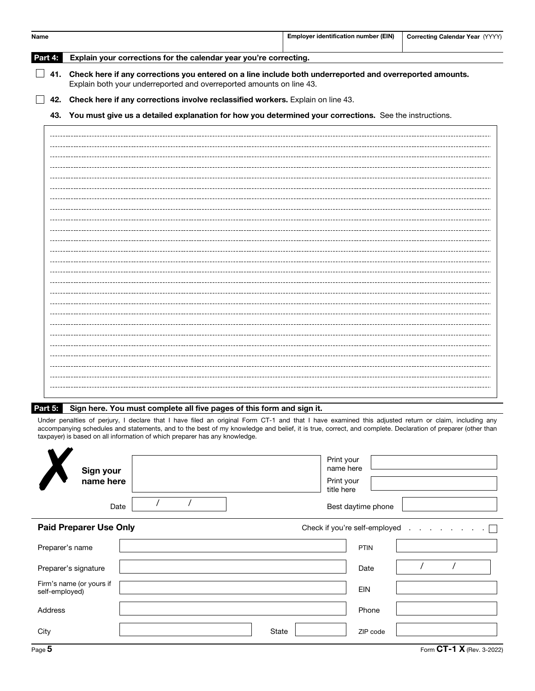| Name                                                                                                          |  |                                                                                                                                                                                                                                                                                                                                                                                                | <b>Employer identification number (EIN)</b> | Correcting Calendar Year (YYYY) |  |  |  |  |  |
|---------------------------------------------------------------------------------------------------------------|--|------------------------------------------------------------------------------------------------------------------------------------------------------------------------------------------------------------------------------------------------------------------------------------------------------------------------------------------------------------------------------------------------|---------------------------------------------|---------------------------------|--|--|--|--|--|
| Part 4:                                                                                                       |  | Explain your corrections for the calendar year you're correcting.                                                                                                                                                                                                                                                                                                                              |                                             |                                 |  |  |  |  |  |
|                                                                                                               |  | 41. Check here if any corrections you entered on a line include both underreported and overreported amounts.                                                                                                                                                                                                                                                                                   |                                             |                                 |  |  |  |  |  |
|                                                                                                               |  | 42. Check here if any corrections involve reclassified workers. Explain on line 43.                                                                                                                                                                                                                                                                                                            |                                             |                                 |  |  |  |  |  |
| You must give us a detailed explanation for how you determined your corrections. See the instructions.<br>43. |  |                                                                                                                                                                                                                                                                                                                                                                                                |                                             |                                 |  |  |  |  |  |
|                                                                                                               |  |                                                                                                                                                                                                                                                                                                                                                                                                |                                             |                                 |  |  |  |  |  |
|                                                                                                               |  |                                                                                                                                                                                                                                                                                                                                                                                                |                                             |                                 |  |  |  |  |  |
|                                                                                                               |  |                                                                                                                                                                                                                                                                                                                                                                                                |                                             |                                 |  |  |  |  |  |
|                                                                                                               |  |                                                                                                                                                                                                                                                                                                                                                                                                |                                             |                                 |  |  |  |  |  |
|                                                                                                               |  |                                                                                                                                                                                                                                                                                                                                                                                                |                                             |                                 |  |  |  |  |  |
|                                                                                                               |  |                                                                                                                                                                                                                                                                                                                                                                                                |                                             |                                 |  |  |  |  |  |
|                                                                                                               |  |                                                                                                                                                                                                                                                                                                                                                                                                |                                             |                                 |  |  |  |  |  |
|                                                                                                               |  |                                                                                                                                                                                                                                                                                                                                                                                                |                                             |                                 |  |  |  |  |  |
|                                                                                                               |  |                                                                                                                                                                                                                                                                                                                                                                                                |                                             |                                 |  |  |  |  |  |
|                                                                                                               |  |                                                                                                                                                                                                                                                                                                                                                                                                |                                             |                                 |  |  |  |  |  |
|                                                                                                               |  |                                                                                                                                                                                                                                                                                                                                                                                                |                                             |                                 |  |  |  |  |  |
|                                                                                                               |  |                                                                                                                                                                                                                                                                                                                                                                                                |                                             |                                 |  |  |  |  |  |
|                                                                                                               |  |                                                                                                                                                                                                                                                                                                                                                                                                |                                             |                                 |  |  |  |  |  |
|                                                                                                               |  |                                                                                                                                                                                                                                                                                                                                                                                                |                                             |                                 |  |  |  |  |  |
|                                                                                                               |  |                                                                                                                                                                                                                                                                                                                                                                                                |                                             |                                 |  |  |  |  |  |
|                                                                                                               |  |                                                                                                                                                                                                                                                                                                                                                                                                |                                             |                                 |  |  |  |  |  |
|                                                                                                               |  |                                                                                                                                                                                                                                                                                                                                                                                                |                                             |                                 |  |  |  |  |  |
|                                                                                                               |  |                                                                                                                                                                                                                                                                                                                                                                                                |                                             |                                 |  |  |  |  |  |
|                                                                                                               |  |                                                                                                                                                                                                                                                                                                                                                                                                |                                             |                                 |  |  |  |  |  |
|                                                                                                               |  |                                                                                                                                                                                                                                                                                                                                                                                                |                                             |                                 |  |  |  |  |  |
| Part 5:                                                                                                       |  | Sign here. You must complete all five pages of this form and sign it.                                                                                                                                                                                                                                                                                                                          |                                             |                                 |  |  |  |  |  |
|                                                                                                               |  | Under penalties of perjury, I declare that I have filed an original Form CT-1 and that I have examined this adjusted return or claim, including any<br>accompanying schedules and statements, and to the best of my knowledge and belief, it is true, correct, and complete. Declaration of preparer (other than<br>taxpayer) is based on all information of which preparer has any knowledge. |                                             |                                 |  |  |  |  |  |

|                                            | tax payer) is based on all linomiation or writer preparer has any Knowledge. |                                      |
|--------------------------------------------|------------------------------------------------------------------------------|--------------------------------------|
| Sign your                                  |                                                                              | Print your<br>name here              |
| name here                                  |                                                                              | Print your<br>title here             |
| Date                                       |                                                                              | Best daytime phone                   |
| <b>Paid Preparer Use Only</b>              |                                                                              | Check if you're self-employed $\Box$ |
| Preparer's name                            |                                                                              | <b>PTIN</b>                          |
| Preparer's signature                       |                                                                              | Date                                 |
| Firm's name (or yours if<br>self-employed) |                                                                              | <b>EIN</b>                           |
| Address                                    |                                                                              | Phone                                |
| City                                       | State                                                                        | ZIP code                             |